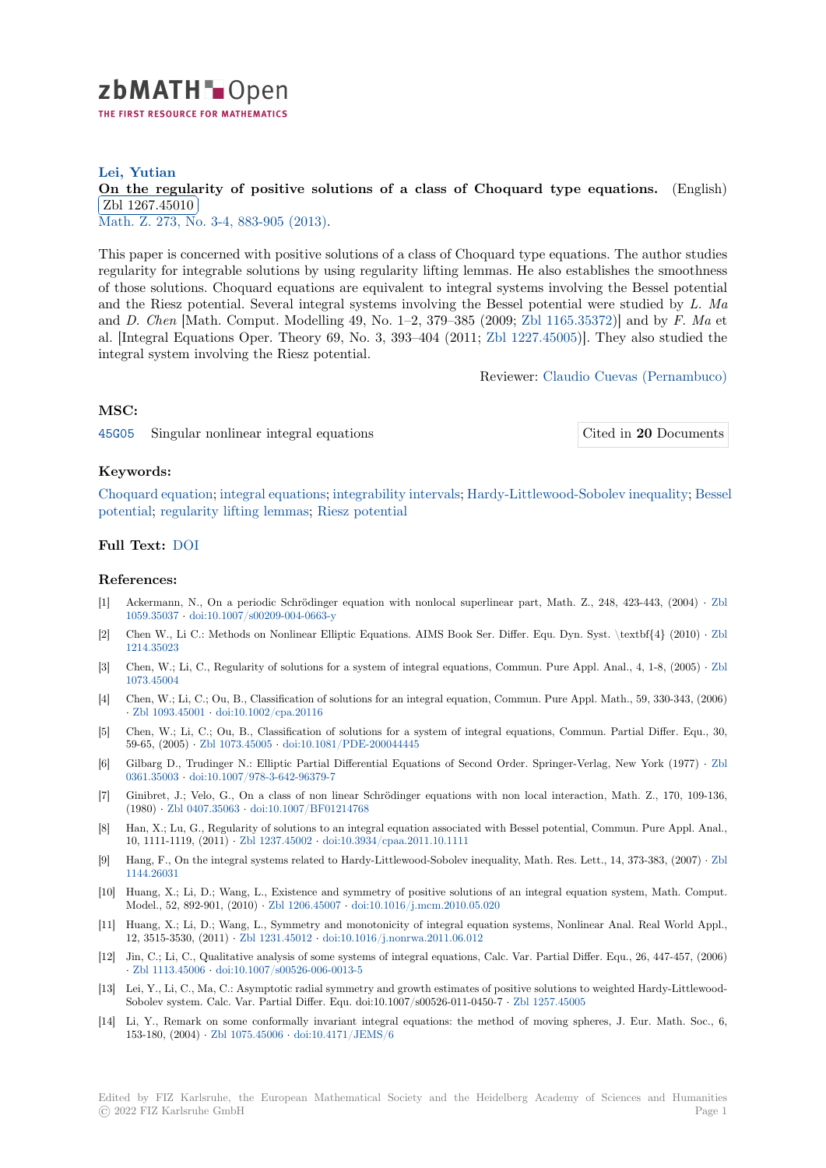

### **Lei, Yutian**

# **[O](https://zbmath.org/)n the regularity of positive solutions of a class of Choquard type equations.** (English) Zbl 1267.45010

<u>EBI 1201.46616</u><br>Math. Z. 273, No. 3-4, 883-905 (2013).

[This paper is concerned with positive solutions of a class of Choquard type equations. The aut](https://zbmath.org/1267.45010)hor studies [regularity for inte](https://zbmath.org/1267.45010)grable solutions by using regularity lifting lemmas. He also establishes the smoothness [of those](https://zbmath.org/journals/?q=se:579)[s](https://zbmath.org/journals/?q=se:579)[olutions. Choquard equation](https://zbmath.org/?q=in:316076)s are equivalent to integral systems involving the Bessel potential and the Riesz potential. Several integral systems involving the Bessel potential were studied by *L. Ma* and *D. Chen* [Math. Comput. Modelling 49, No. 1–2, 379–385 (2009; Zbl 1165.35372)] and by *F. Ma* et al. [Integral Equations Oper. Theory 69, No. 3, 393–404 (2011; Zbl 1227.45005)]. They also studied the integral system involving the Riesz potential.

Reviewer: [Claudio Cu](https://zbmath.org/?q=an:1165.35372)evas (Pernambuco)

## **MSC:**

45G05 Singular nonlinear integral equations Cited in **20** [Documents](https://zbmath.org/authors/?q=cuevas.claudio)

#### **Keywords:**

[Choqu](https://zbmath.org/classification/?q=cc:45G05)ard equation; integral equations; integrability intervals; Hardy-Littlewood-[Sobolev inequality;](https://zbmath.org/?q=rf:1267.45010|6149046) Bessel potential; regularity lifting lemmas; Riesz potential

#### **Full Text:** DOI

#### **[Referenc](https://zbmath.org/?q=ut:Bessel+potential)[es:](https://zbmath.org/?q=ut:regularity+lifting+lemmas)**

- [1] Ackermann, N., On a periodic Schrödinger equation with nonlocal superlinear part, Math. Z., 248, 423-443, (2004) *·* Zbl 1059.35037 *·* [do](https://dx.doi.org/10.1007/s00209-012-1036-6)i:10.1007/s00209-004-0663-y
- [2] Chen W., Li C.: Methods on Nonlinear Elliptic Equations. AIMS Book Ser. Differ. Equ. Dyn. Syst. \textbf{4} (2010) *·* Zbl 1214.35023
- [3] Chen, W.; Li, C., Regularity of solutions for a system of integral equations, Commun. Pure Appl. Anal., 4, 1-8, (2005) *·* [Zbl](https://zbmath.org/1059.35037) [1073.45004](https://zbmath.org/1059.35037)
- [4] Chen, W.; Li, C.; Ou, B., Classification of solutions for an integral equation, Commun. Pure Appl. Math., 59, 330-343, (2[006\)](https://zbmath.org/1214.35023) *·* [Zbl 1093.4](https://zbmath.org/1214.35023)5001 *·* doi:10.1002/cpa.20116
- [5] Chen, W.; Li, C.; Ou, B., Classification of solutions for a system of integral equations, Commun. Partial Differ. Equ., [30,](https://zbmath.org/1073.45004) [59-65, \(200](https://zbmath.org/1073.45004)5) *·* Zbl 1073.45005 *·* doi:10.1081/PDE-200044445
- [6] Gilbarg D., Trudinger N.: Elliptic Partial Differential Equations of Second Order. Springer-Verlag, New York (1977) *·* Zbl 0[361.35003](https://zbmath.org/1093.45001) *·* doi:1[0.1007/978-3-642-96379](https://dx.doi.org/10.1002/cpa.20116)-7
- [7] Ginibret, J.; Velo, G., On a class of non linear Schrödinger equations with non local interaction, Math. Z., 170, 109-136, (1980) *·* Zbl 04[07.35063](https://zbmath.org/1073.45005) *·* doi:10.[1007/BF01214768](https://dx.doi.org/10.1081/PDE-200044445)
- [8] Han, X.; Lu, G., Regularity of solutions to an integral equation associated with Bessel potential, Commun. Pure Appl. A[nal.,](https://zbmath.org/0361.35003) [10, 1111-11](https://zbmath.org/0361.35003)19, (2011) *·* [Zbl 1237.45002](https://dx.doi.org/10.1007/978-3-642-96379-7) *·* doi:10.3934/cpaa.2011.10.1111
- [9] Hang, F., On the integral systems related to Hardy-Littlewood-Sobolev inequality, Math. Res. Lett., 14, 373-383, (2007) *·* Zbl 1144.260[31](https://zbmath.org/0407.35063)
- [10] Huang, X.; Li, D.; Wang, L., Existence and symmetry of positive solutions of an integral equation system, Math. Comput. Model., 52, 892-901, (2010) *·* [Zbl 1206.](https://zbmath.org/1237.45002)45007 *·* [doi:10.1016/j.mcm.2010.](https://dx.doi.org/10.3934/cpaa.2011.10.1111)05.020
- [11] Huang, X.; Li, D.; Wang, L., Symmetry and monotonicity of integral equation systems, Nonlinear Anal. Real World A[ppl.,](https://zbmath.org/1144.26031) [12, 3515-35](https://zbmath.org/1144.26031)30, (2011) *·* Zbl 1231.45012 *·* doi:10.1016/j.nonrwa.2011.06.012
- [12] Jin, C.; Li, C., Qualitative analysis of some systems of integral equations, Calc. Var. Partial Differ. Equ., 26, 447-457, (2006) *·* Zbl 1113.45006 *·* doi:10.100[7/s00526-006-00](https://zbmath.org/1206.45007)1[3-5](https://dx.doi.org/10.1016/j.mcm.2010.05.020)
- [13] Lei, Y., Li, C., Ma, C.: Asymptotic radial symmetry and growth estimates of positive solutions to weighted Hardy-Littlewood-Sobolev system. Calc. [Var. Partial Diff](https://zbmath.org/1231.45012)er[. Equ. doi:10.1007/s00526-011-045](https://dx.doi.org/10.1016/j.nonrwa.2011.06.012)0-7 *·* Zbl 1257.45005
- [14] Li, Y., Remark on some conformally invariant integral equations: the method of moving spheres, J. Eur. Math. Soc., 6, 1[53-180, \(2004\)](https://zbmath.org/1113.45006) *·* Zbl 1075.45006 *·* [doi:10.4171/JE](https://dx.doi.org/10.1007/s00526-006-0013-5)MS/6